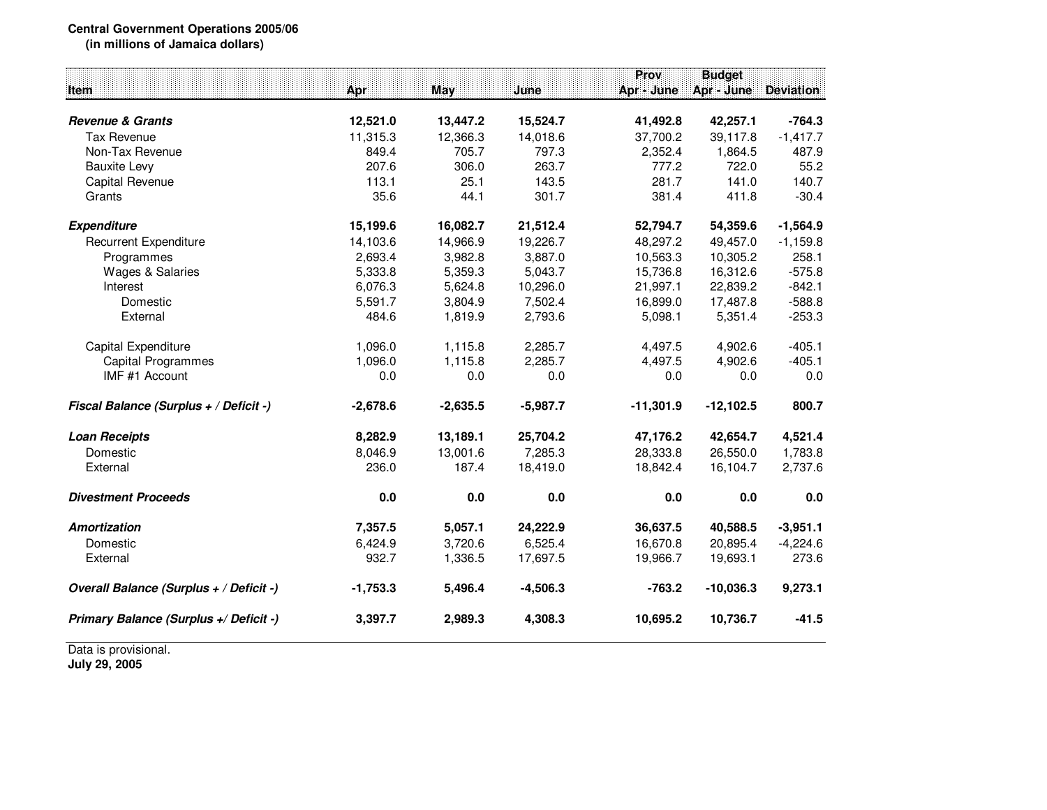## **Central Government Operations 2005/06(in millions of Jamaica dollars)**

**ProvProv** Budget<br>**Apr** - June Apr - June Deviation **Item Apr May June Apr - June Apr - June Deviation Revenue & Grants 12,521.0 13,447.2 15,524.7 41,492.8 42,257.1 -764.3** Tax Revenue 11,315.3 12,366.3 14,018.6 37,700.2 39,117.8 -1,417.7 Non-Tax Revenue 849.4 705.7 797.3 2,352.4 1,864.5 487.9 $55.2$ Bauxite Levy 207.6 306.0 263.7 777.2 722.0 55.2140.7 Capital Revenue 113.1 25.1 143.5 281.7 141.0 140.7 Grants 35.6 44.1 301.7 381.4 411.8 -30.4**Expenditure 15,199.6 16,082.7 21,512.4 52,794.7 54,359.6 -1,564.9** Recurrent Expenditure 14,103.6 14,103.6 14,966.9 19,226.7 48,297.2 49,457.0 -1,159.8<br>Programmes 2.693.4 3.982.8 3.887.0 10.563.3 10.305.2 258.1 258.1 Programmes 2,693.4 3,982.8 3,887.0 10,563.3 10,305.2 258.1 $-575.8$ Wages & Salaries 16.312.6 5,333.8 5,359.3 5,043.7 15,736.8 16,312.6  $-842.1$ Interest 6,076.3 5,624.8 10,296.0 21,997.1 22,839.2 -842.1 $-588.8$ Domestic 5,591.7 3,804.9 7,502.4 16,899.0 17,487.8 -588.8 $-253.3$ External 484.6 1,819.9 2,793.6 5,098.1 5,351.4 -253.3Capital Expenditure 1,096.0 1,115.8 2,285.7 4,497.5 4,902.6 -405.1 $-405.1$ Capital Programmes **1,096.0** 1,115.8 2,285.7 4,497.5 4,902.6  $0.0$ IMF #1 Account 0.0 0.0 0.0 0.0 0.0 0.0**Fiscal Balance (Surplus + / Deficit -) -2,678.6 -2,635.5 -5,987.7 -11,301.9 -12,102.5 800.7 Loan Receipts 8,282.9 13,189.1 25,704.2 47,176.2 42,654.7 4,521.4** Domestic 8,046.9 13,001.6 7,285.3 28,333.8 26,550.0 1,783.82,737.6 External 236.0 187.4 18,419.0 18,842.4 16,104.7 2,737.6**Divestment Proceeds 0.0 0.0 0.0 0.0 0.0 0.0 Amortization 7,357.5 5,057.1 24,222.9 36,637.5 40,588.5 -3,951.1** Domestic 6,424.9 3,720.6 6,525.4 16,670.8 20,895.4 -4,224.6273.6 External 932.7 1,336.5 17,697.5 19,966.7 19,693.1 273.6**Overall Balance (Surplus + / Deficit -) -1,753.3 5,496.4 -4,506.3 -763.2 -10,036.3 9,273.1 Primary Balance (Surplus +/ Deficit -) 3,397.72,989.3 4,308.3 10,695.2 10,736.7 -41.5**

Data is provisional.

**July 29, 2005**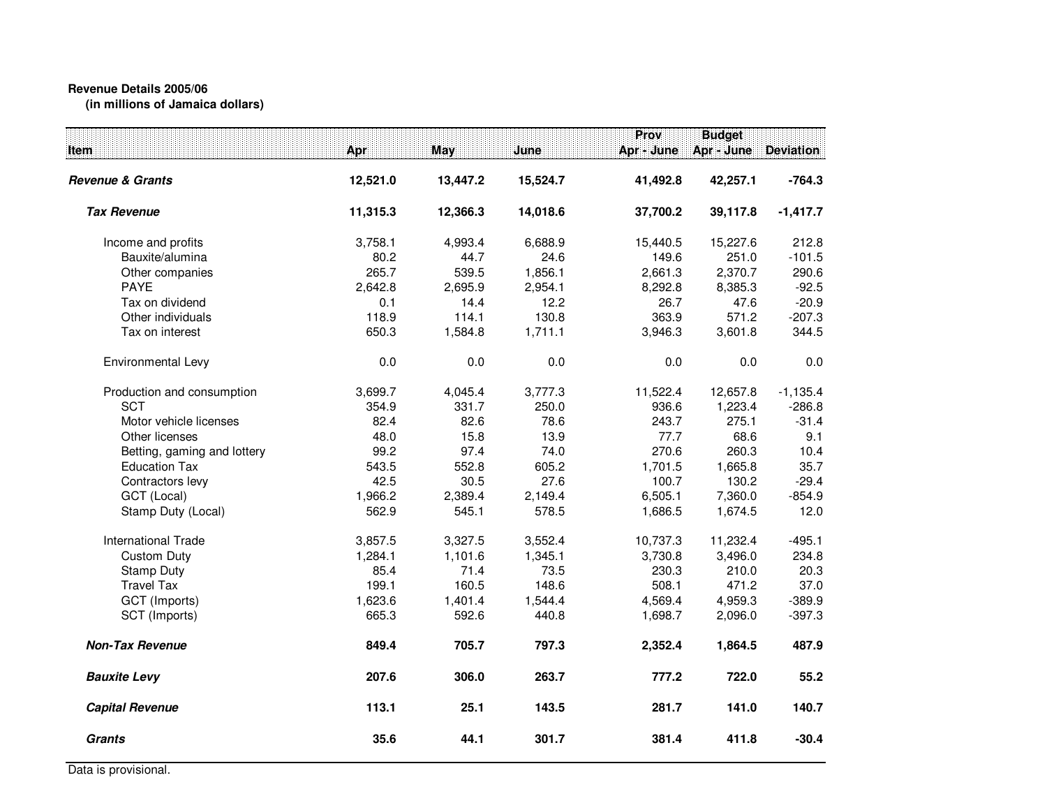## **Revenue Details 2005/06(in millions of Jamaica dollars)**

| ltem:                       | Apr      | May      | June     | Prov<br>Apr - June | <b>Budget</b><br>Apr - June | <b>Deviation</b> |
|-----------------------------|----------|----------|----------|--------------------|-----------------------------|------------------|
| Revenue & Grants            | 12,521.0 | 13,447.2 | 15,524.7 | 41,492.8           | 42,257.1                    | $-764.3$         |
| <b>Tax Revenue</b>          | 11,315.3 | 12,366.3 | 14,018.6 | 37,700.2           | 39,117.8                    | $-1,417.7$       |
| Income and profits          | 3,758.1  | 4,993.4  | 6,688.9  | 15,440.5           | 15,227.6                    | 212.8            |
| Bauxite/alumina             | 80.2     | 44.7     | 24.6     | 149.6              | 251.0                       | $-101.5$         |
| Other companies             | 265.7    | 539.5    | 1,856.1  | 2,661.3            | 2,370.7                     | 290.6            |
| <b>PAYE</b>                 | 2,642.8  | 2,695.9  | 2,954.1  | 8,292.8            | 8,385.3                     | $-92.5$          |
| Tax on dividend             | 0.1      | 14.4     | 12.2     | 26.7               | 47.6                        | $-20.9$          |
| Other individuals           | 118.9    | 114.1    | 130.8    | 363.9              | 571.2                       | $-207.3$         |
| Tax on interest             | 650.3    | 1,584.8  | 1,711.1  | 3,946.3            | 3,601.8                     | 344.5            |
| Environmental Levy          | 0.0      | 0.0      | 0.0      | 0.0                | 0.0                         | 0.0              |
| Production and consumption  | 3,699.7  | 4,045.4  | 3,777.3  | 11,522.4           | 12,657.8                    | $-1,135.4$       |
| <b>SCT</b>                  | 354.9    | 331.7    | 250.0    | 936.6              | 1,223.4                     | $-286.8$         |
| Motor vehicle licenses      | 82.4     | 82.6     | 78.6     | 243.7              | 275.1                       | $-31.4$          |
| Other licenses              | 48.0     | 15.8     | 13.9     | 77.7               | 68.6                        | 9.1              |
| Betting, gaming and lottery | 99.2     | 97.4     | 74.0     | 270.6              | 260.3                       | 10.4             |
| <b>Education Tax</b>        | 543.5    | 552.8    | 605.2    | 1,701.5            | 1,665.8                     | 35.7             |
| Contractors levy            | 42.5     | 30.5     | 27.6     | 100.7              | 130.2                       | $-29.4$          |
| GCT (Local)                 | 1,966.2  | 2,389.4  | 2,149.4  | 6,505.1            | 7,360.0                     | $-854.9$         |
| Stamp Duty (Local)          | 562.9    | 545.1    | 578.5    | 1,686.5            | 1,674.5                     | 12.0             |
| <b>International Trade</b>  | 3,857.5  | 3,327.5  | 3,552.4  | 10,737.3           | 11,232.4                    | $-495.1$         |
| <b>Custom Duty</b>          | 1,284.1  | 1,101.6  | 1,345.1  | 3,730.8            | 3,496.0                     | 234.8            |
| <b>Stamp Duty</b>           | 85.4     | 71.4     | 73.5     | 230.3              | 210.0                       | 20.3             |
| <b>Travel Tax</b>           | 199.1    | 160.5    | 148.6    | 508.1              | 471.2                       | 37.0             |
| GCT (Imports)               | 1,623.6  | 1,401.4  | 1,544.4  | 4,569.4            | 4,959.3                     | $-389.9$         |
| SCT (Imports)               | 665.3    | 592.6    | 440.8    | 1,698.7            | 2,096.0                     | $-397.3$         |
| <b>Non-Tax Revenue</b>      | 849.4    | 705.7    | 797.3    | 2,352.4            | 1,864.5                     | 487.9            |
| <b>Bauxite Levy</b>         | 207.6    | 306.0    | 263.7    | 777.2              | 722.0                       | 55.2             |
| <b>Capital Revenue</b>      | 113.1    | 25.1     | 143.5    | 281.7              | 141.0                       | 140.7            |
| <b>Grants</b>               | 35.6     | 44.1     | 301.7    | 381.4              | 411.8                       | $-30.4$          |